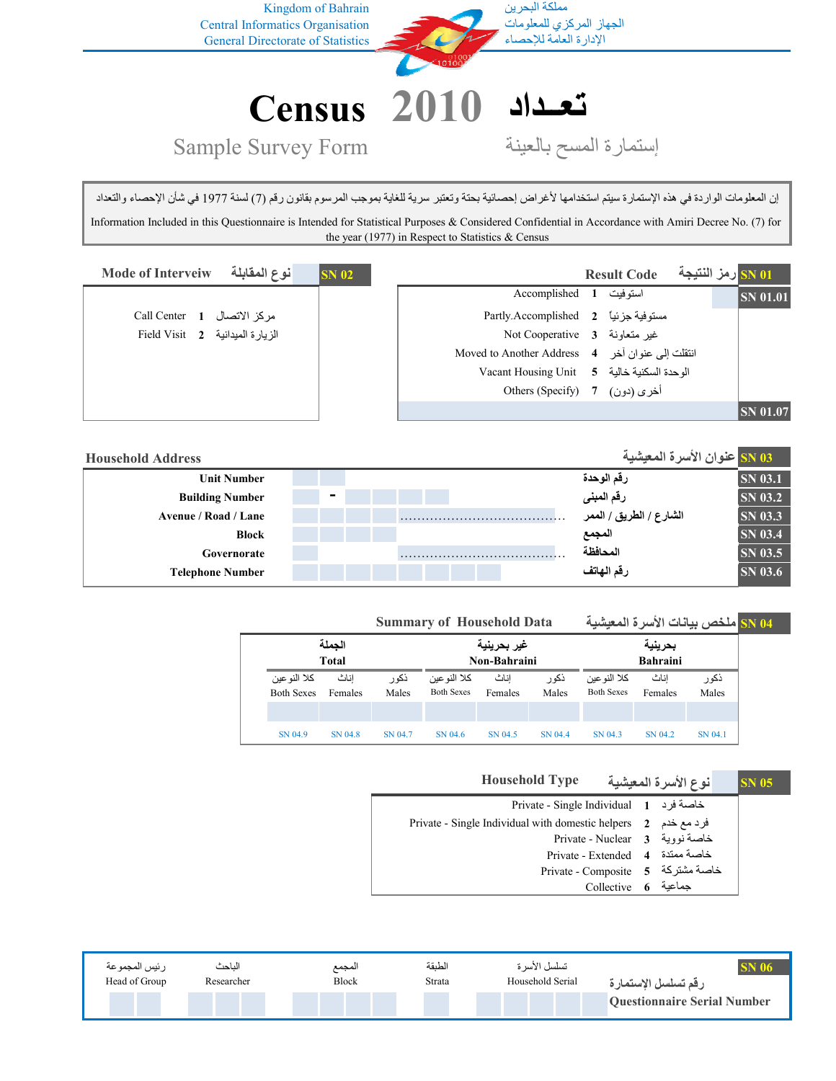

إن المعلومات الواردة في هذه الإستمارة سيتم استخدامها لأغراض إحصائية بحتة وتعتبر سرية للغاية بموجب المرسوم بقانون رقم (7) لسنة 1977 في شأن الإحصاء والتعداد Information Included in this Questionnaire is Intended for Statistical Purposes & Considered Confidential in Accordance with Amiri Decree No. (7) for the year (1977) in Respect to Statistics & Census

| أنوع المقابلة<br><b>Mode of Interveiw</b> | <b>SN 02</b> |                                                                          | <b>Result Code</b> |  | <mark>SN 01 رمز النتيجة</mark> |
|-------------------------------------------|--------------|--------------------------------------------------------------------------|--------------------|--|--------------------------------|
|                                           |              | استوفيت 1 Accomplished                                                   |                    |  | <b>SN</b> 01.01                |
| مركز الاتصال Call Center 1                |              | Partly.Accomplished 2 مستوفية جزئياً                                     |                    |  |                                |
| Field Visit 2 الزيارة الميدانية           |              | Mot Cooperative 3 غير متعاونة 3                                          |                    |  |                                |
|                                           |              | Moved to Another Address 4 انتقلت إلى عنوان أخر Moved to Another Address |                    |  |                                |
|                                           |              | الوحدة السكنية خالية 5    Vacant Housing Unit                            |                    |  |                                |
|                                           |              | Others (Specify) 7 (دون) 7                                               |                    |  |                                |
|                                           |              |                                                                          |                    |  | <b>SN 01.07</b>                |

| <b>Household Address</b> |                |  | ـ ISN 03 عنوان الأسرة المعيشية |                |
|--------------------------|----------------|--|--------------------------------|----------------|
| <b>Unit Number</b>       |                |  | رقم الوحدة                     | <b>SN 03.1</b> |
| <b>Building Number</b>   | $\blacksquare$ |  | رقم المبنى                     | SN 03.2        |
| Avenue / Road / Lane     |                |  | الشارع / الطريق / الممر        | SN 03.3        |
| Block                    |                |  | المجمع                         | <b>SN 03.4</b> |
| Governorate              |                |  | المحافظة                       | <b>SN 03.5</b> |
| <b>Telephone Number</b>  |                |  | رقم الهاتف                     | <b>SN 03.6</b> |

|                                   | <b>Summary of Household Data</b> |                |                                   |                 | <mark>SN 04 ملخص بيانات الأ</mark> سرة المعيشية |                                   |                 |                |  |
|-----------------------------------|----------------------------------|----------------|-----------------------------------|-----------------|-------------------------------------------------|-----------------------------------|-----------------|----------------|--|
| الحملة                            |                                  |                |                                   | غير بحرينية     |                                                 |                                   | بحرينية         |                |  |
|                                   | Total                            |                | <b>Bahraini</b><br>Non-Bahraini   |                 |                                                 |                                   |                 |                |  |
| كلا النو عين<br><b>Both Sexes</b> | اناث<br>Females                  | ذکو ر<br>Males | كلا النو عين<br><b>Both Sexes</b> | اناث<br>Females | ذکو ر<br>Males                                  | كلا النو عين<br><b>Both Sexes</b> | اناث<br>Females | ذکو ر<br>Males |  |
|                                   |                                  |                |                                   |                 |                                                 |                                   |                 |                |  |
| SN 04.9                           | SN 04.8                          | SN 04.7        | SN 04.6                           | SN 04.5         | SN 04.4                                         | SN 04.3                           | SN 04.2         | SN 04.1        |  |

**05 SN نوع الأسرة المعيشية Type Household**

| فاصة فرد Private - Single Individual 1                             |  |
|--------------------------------------------------------------------|--|
| فرد مع خدم - Private - Single Individual with domestic helpers - 2 |  |
| Private - Nuclear 3 خاصة نووية                                     |  |
| Private - Extended 4 خاصة ممتدة 4                                  |  |
| Private - Composite 5 5 خاصة مشتركة                                |  |
| حماعية Collective 6                                                |  |

| ر نيس المجمو عه | الناحث     | المجمع       | الطنقة | تسلسل الأسر ة    |                                    |
|-----------------|------------|--------------|--------|------------------|------------------------------------|
| Head of Group   | Researcher | <b>Block</b> | Strata | Household Serial | رقم تسلسل الإستمارة                |
|                 |            |              |        |                  | <b>Questionnaire Serial Number</b> |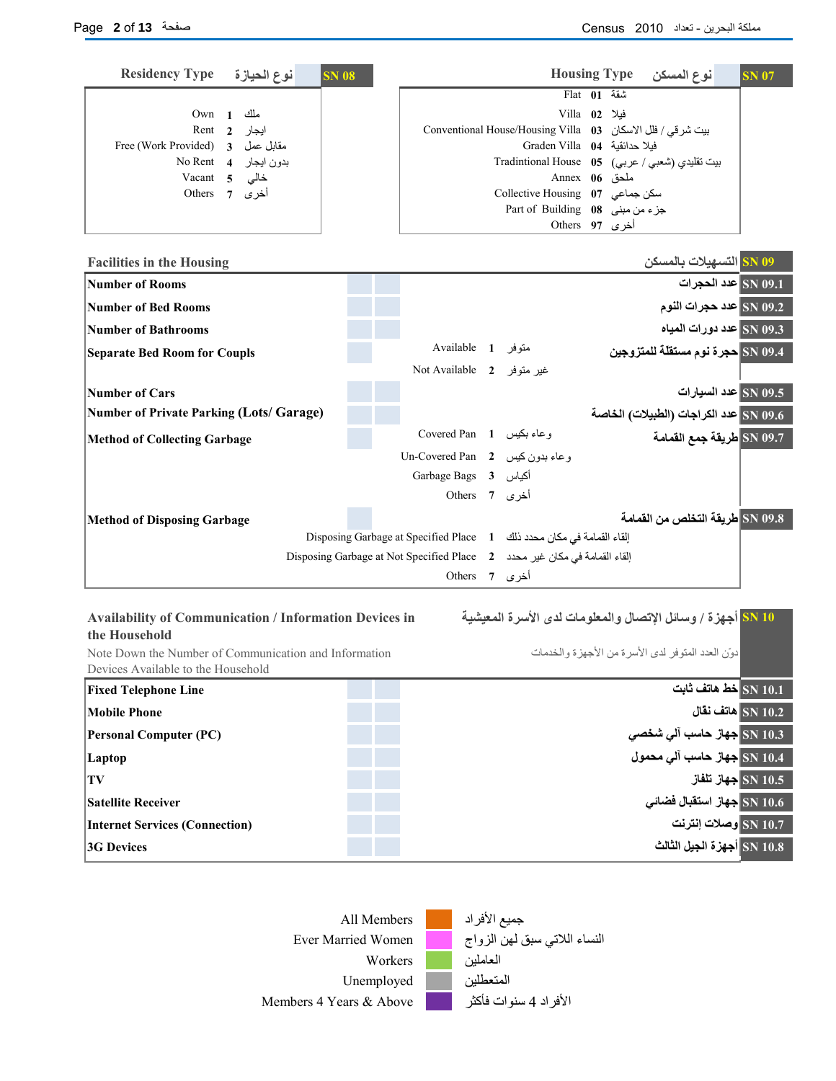**10 SN أجهزة / وسائل الإتصال والمعلومات لدى الأسرة المعيشية**

دوّن العدد المتوفر لدى الأسرة من الأجهزة والخدمات

| <b>Residency Type</b><br>نوع الحيازة<br><b>SN 08</b>    |                                                                                                      |                                                             |                                            | Housing Type نوع المسكن                        | <b>SN 07</b> |
|---------------------------------------------------------|------------------------------------------------------------------------------------------------------|-------------------------------------------------------------|--------------------------------------------|------------------------------------------------|--------------|
|                                                         |                                                                                                      |                                                             | $F$ lat $01$ $\overline{u}$ $\overline{u}$ |                                                |              |
| $Own \quad 1$<br>ملك                                    |                                                                                                      |                                                             | Villa 02 فيلا                              |                                                |              |
| ايجار<br>Rent 2                                         |                                                                                                      | بيت شر في / فلل الاسكان Conventional House/Housing Villa 03 |                                            |                                                |              |
| Free (Work Provided) 3 مقابل عمل ـ Free (Work Provided) |                                                                                                      | Graden Villa 04 فيلا حدائقية                                |                                            |                                                |              |
| بدون ايجار No Rent 4                                    |                                                                                                      |                                                             |                                            | بيت تقليدي (شعبي / عربي) Tradintional House 05 |              |
| لاس Vacant 5                                            |                                                                                                      |                                                             | Annex 06 ملحق                              |                                                |              |
| أخرى 7 Others                                           |                                                                                                      | سكن جماعى O7 Collective Housing                             |                                            |                                                |              |
|                                                         |                                                                                                      | Part of Building 08 جزء من مبنى                             |                                            |                                                |              |
|                                                         |                                                                                                      |                                                             | Others 97 فرى                              |                                                |              |
| <b>Facilities in the Housing</b>                        |                                                                                                      |                                                             |                                            | 09 SN التسهيلات بالمسكن                        |              |
| <b>Number of Rooms</b>                                  |                                                                                                      |                                                             |                                            | SN 09.1 عدد الحجرات                            |              |
| Number of Bed Rooms                                     |                                                                                                      |                                                             |                                            | SN 09.2 عدد حجرات النوم                        |              |
| <b>Number of Bathrooms</b>                              |                                                                                                      |                                                             |                                            | عدد دورات المياه $\vert$ 5N 09.3               |              |
| <b>Separate Bed Room for Coupls</b>                     | Available 1 متوفر                                                                                    |                                                             |                                            | SN 09.4 حجرة نوم مستقلّة للمتزوجين             |              |
|                                                         | Not Available 2 غير متوفر                                                                            |                                                             |                                            |                                                |              |
| Number of Cars                                          |                                                                                                      |                                                             |                                            | SN 09.5 عدد السيارات                           |              |
| Number of Private Parking (Lots/ Garage)                |                                                                                                      |                                                             |                                            | 09.6 SN عدد الكراجات (الطبيلات) الخاصة         |              |
| Method of Collecting Garbage                            | وعاء بكيس 1 Covered Pan                                                                              |                                                             |                                            | SN 09.7 طريقة جمع القمامة                      |              |
|                                                         | وعاء بدون كيس Un-Covered Pan 2                                                                       |                                                             |                                            |                                                |              |
|                                                         | Garbage Bags 3 أكياس 6                                                                               |                                                             |                                            |                                                |              |
|                                                         | أخرى 7 Others                                                                                        |                                                             |                                            |                                                |              |
| <b>Method of Disposing Garbage</b>                      |                                                                                                      |                                                             |                                            | SN 09.8 طريقة التخلص من القمامة                |              |
|                                                         | Disposing Garbage at Specified Place 1 ألقاء القمامة في مكان محدد ذلك 1                              |                                                             |                                            |                                                |              |
|                                                         | Disposing Garbage at Not Specified Place 2 في مكان غير محدد Disposing Garbage at Not Specified Place |                                                             |                                            |                                                |              |
|                                                         |                                                                                                      | أخرى 7 Others                                               |                                            |                                                |              |

| <b>Availability of Communication / Information Devices in</b> |  |  |  |  |  |  |  |
|---------------------------------------------------------------|--|--|--|--|--|--|--|
| the Household                                                 |  |  |  |  |  |  |  |
| Note Down the Number of Communication and Information         |  |  |  |  |  |  |  |
| Devices Available to the Household                            |  |  |  |  |  |  |  |

| <b>Fixed Telephone Line</b>           | خط هاتف ثابت $\boxed{\text{SN 10.1}}$ |
|---------------------------------------|---------------------------------------|
| Mobile Phone                          | هاتف نقال $\vert$ SN 10.2             |
| <b>Personal Computer (PC)</b>         | SN 10.3 جهاز حاسب آلي شخصي            |
| Laptop                                | SN 10.4 جهاز حاسب آلي محمول           |
| <b>TV</b>                             | SN 10.5 جهاز تلفاز                    |
| <b>Satellite Receiver</b>             | SN 10.6 جهاز استقبال فضائي            |
| <b>Internet Services (Connection)</b> | SN 10.7 وصلات إنترنت                  |
| <b>3G Devices</b>                     | SN 10.8 أجهزة الجيل الثالث            |

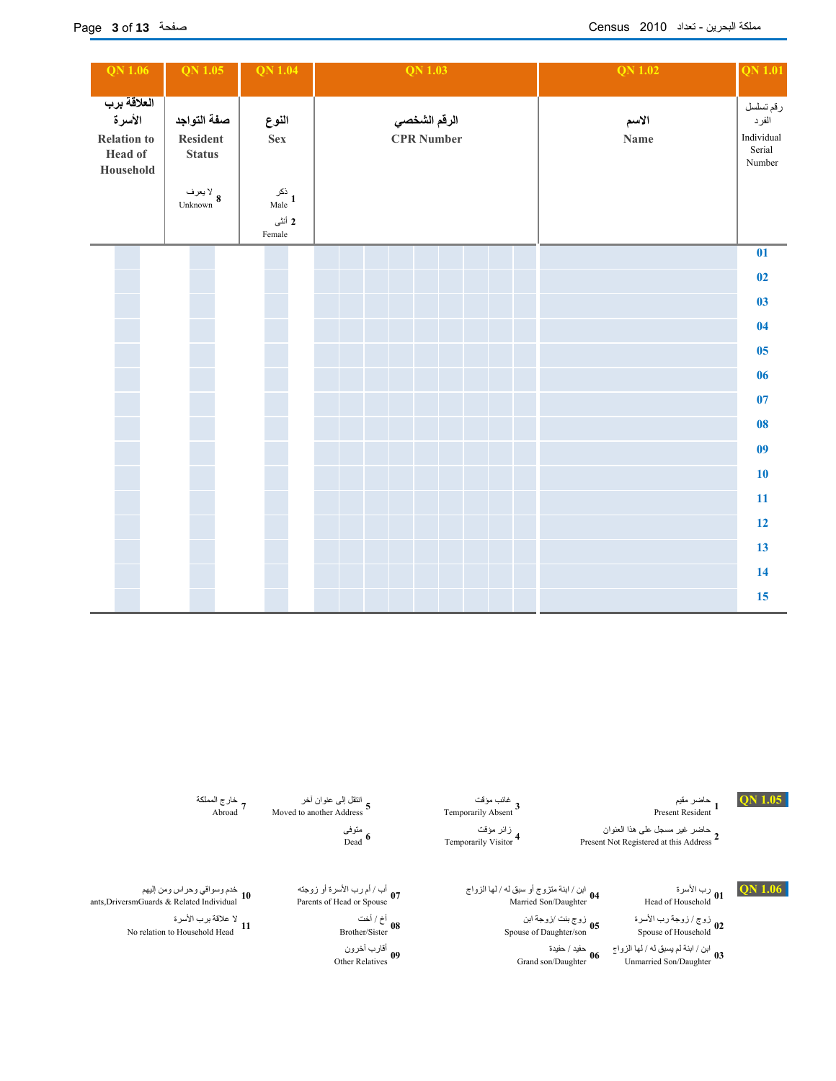| <b>QN</b> 1.06                                                      | QN 1.05                                  | <b>QN 1.04</b>                                                                | QN 1.03                           | <b>QN 1.02</b><br>QN 1.01                                             |  |
|---------------------------------------------------------------------|------------------------------------------|-------------------------------------------------------------------------------|-----------------------------------|-----------------------------------------------------------------------|--|
| العلاقة برب<br>الأسرة<br><b>Relation to</b><br>Head of<br>Household | صفة التواجد<br>Resident<br><b>Status</b> | النوع<br><b>Sex</b>                                                           | الرقم الشخصي<br><b>CPR</b> Number | رقم تسلسل<br>الاسم<br>الفرد<br>Individual<br>Name<br>Serial<br>Number |  |
|                                                                     | لا يعرف<br>Unknown $\,$ 8                | نکر<br>Male $\begin{array}{c} 1 \end{array}$<br>2 أنثى<br>$\mbox{\sf Female}$ |                                   |                                                                       |  |
|                                                                     |                                          |                                                                               |                                   | 01                                                                    |  |
|                                                                     |                                          |                                                                               |                                   | 02                                                                    |  |
|                                                                     |                                          |                                                                               |                                   | 03                                                                    |  |
|                                                                     |                                          |                                                                               |                                   | 04                                                                    |  |
|                                                                     |                                          |                                                                               |                                   | 0 <sub>5</sub>                                                        |  |
|                                                                     |                                          |                                                                               |                                   | 06                                                                    |  |
|                                                                     |                                          |                                                                               |                                   | 07                                                                    |  |
|                                                                     |                                          |                                                                               |                                   | 08                                                                    |  |
|                                                                     |                                          |                                                                               |                                   | 09                                                                    |  |
|                                                                     |                                          |                                                                               |                                   | 10                                                                    |  |
|                                                                     |                                          |                                                                               |                                   | 11                                                                    |  |
|                                                                     |                                          |                                                                               |                                   | 12                                                                    |  |
|                                                                     |                                          |                                                                               |                                   | 13                                                                    |  |
|                                                                     |                                          |                                                                               |                                   | 14                                                                    |  |
|                                                                     |                                          |                                                                               |                                   | 15                                                                    |  |

**1.05 QN** حاضر مقيم غائب مؤقت انتقل إلى عنوان آخر خارج المملكة

Abroad Moved to another Address 5<br>
Temporarily Absent 3<br>
Temporarily Absent 1 حاضر غير مسجل على هذا العنوان زائر مؤقت متوفى حاضر مق<u>دم</u><br>Present Resident **1** 

Temporarily Visitor **4**<br>
Dead 6 **2**<br>
Present Not Registered at this Address

رب الأسرة<br>**01** Head of Household

زوج */ زوجة رب ا*لأسرة أخ / أخت لا علاقة برب الأسرة التي يتم بن أخ / أخت لا علاقة برب الأسرة بن الأسرة بن الأسرة ب<br>المقامة بربوت الأولى المعلمة بربوت التي يتم التي توجه بن الأسرة التي يتم التي يتم التي يتم التي يتم التي ي زوج / زوجة رب الأسرة<br>Spouse of Household **02** 

ابن / ابنة لم يسبق له / لها الزواج حفيد / حفيدة أقارب آخرون Other Relatives Grand son/Daughter Unmarried Son/Daughter **<sup>03</sup>**

زائر مؤقت<br>Temporarily Visitor <sup>4</sup> غانب مؤقت<br>Temporarily Absent <sup>3</sup>

أب / أم رب الأسرة أو زوجته<br>Parents of Head or Spouse **07** 

متوفی<br>Dead <sup>6</sup>

أخ / أخت<br>Brother/Sister **08** 

**09 06**

خارج المملكة<br>7 Abroad

**1.06 QN** رب الأسرة ابن / ابنة متزوج أو سبق له / لها الزواج أب / أم رب الأسرة أو زوجته خدم وسواقي وحراس ومن إليهم **04** ants,DriversmGuards & Related Individual Parents of Head or Spouse Married Son/Daughter Head of Household **10**لا علاقة برب الأسرة No relation to Household Head  $11$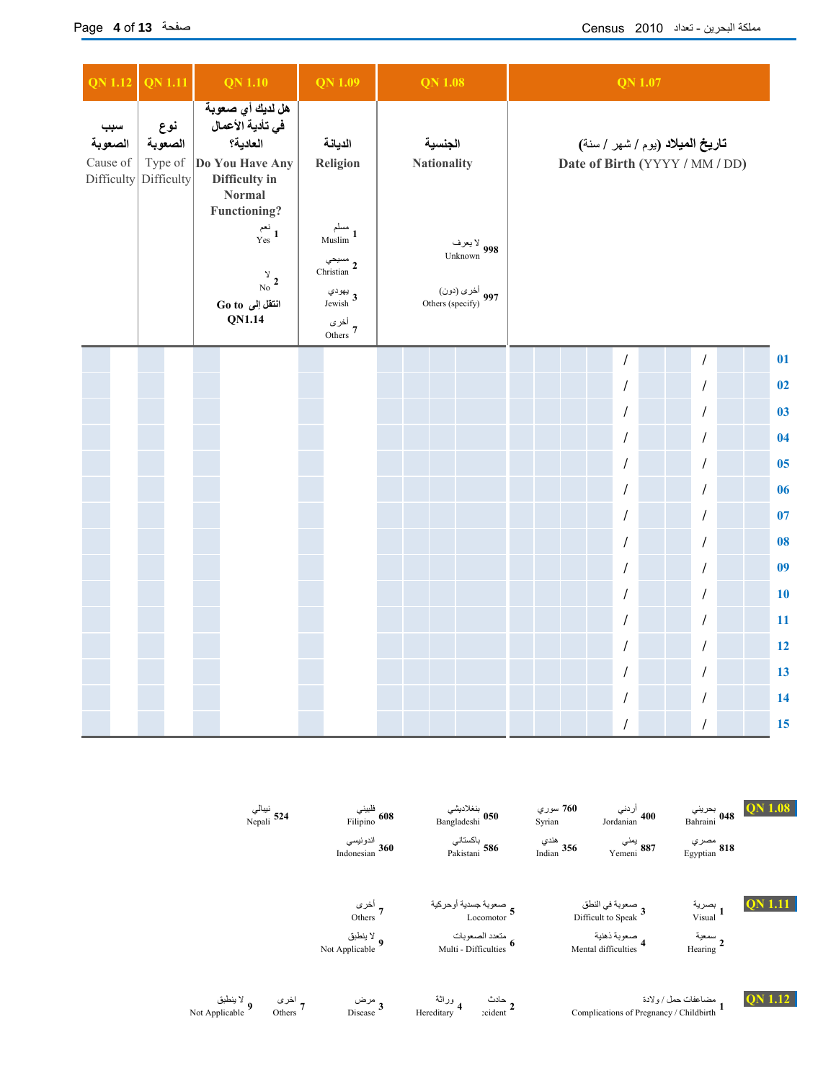| <b>QN 1.12</b>                           | <b>QN 1.11</b>                          | <b>QN 1.10</b>                                                                                              | <b>QN 1.09</b>                                                                              | <b>QN 1.08</b>                                               | <b>QN 1.07</b>                                                    |                |  |  |
|------------------------------------------|-----------------------------------------|-------------------------------------------------------------------------------------------------------------|---------------------------------------------------------------------------------------------|--------------------------------------------------------------|-------------------------------------------------------------------|----------------|--|--|
| سبب<br>الصعوبة<br>Cause of<br>Difficulty | نوع<br>الصعوبة<br>Type of<br>Difficulty | هل لديك أي صعوبة<br>في تأدية الأعمال<br>العادية؟<br>Do You Have Any<br>Difficulty in<br><b>Normal</b>       | الديانة<br>Religion                                                                         | الجنسية<br><b>Nationality</b>                                | تاريخ الميلاد (يوم / شهر / سنة)<br>Date of Birth (YYYY / MM / DD) |                |  |  |
|                                          |                                         | Functioning?<br>نعم<br>Yes <sup>1</sup><br>$\frac{\gamma}{\text{No}}$ 2<br>انتقل إلى Go to<br><b>QN1.14</b> | مسلم<br>Muslim 1<br>مسيحي<br>Christian 2<br>يھودي<br>Jewish $\mathbf 3$<br>أخرى<br>7 Others | لا يعرف<br>Unknown 998<br>أخرى (دون)<br>997 Others (specify) |                                                                   |                |  |  |
|                                          |                                         |                                                                                                             |                                                                                             |                                                              | $\overline{1}$<br>7                                               | 01             |  |  |
|                                          |                                         |                                                                                                             |                                                                                             |                                                              | $\prime$<br>1                                                     | 02             |  |  |
|                                          |                                         |                                                                                                             |                                                                                             |                                                              | 1<br>I                                                            | 0 <sub>3</sub> |  |  |
|                                          |                                         |                                                                                                             |                                                                                             |                                                              | 1                                                                 | 04             |  |  |
|                                          |                                         |                                                                                                             |                                                                                             |                                                              | $\overline{1}$                                                    | 05             |  |  |
|                                          |                                         |                                                                                                             |                                                                                             |                                                              | 1<br>$\prime$                                                     | 06             |  |  |
|                                          |                                         |                                                                                                             |                                                                                             |                                                              | 1<br>1                                                            | 07             |  |  |
|                                          |                                         |                                                                                                             |                                                                                             |                                                              | 1<br>1                                                            | 08             |  |  |
|                                          |                                         |                                                                                                             |                                                                                             |                                                              | 1<br>I                                                            | 0 <sup>9</sup> |  |  |
|                                          |                                         |                                                                                                             |                                                                                             |                                                              | 1<br>I                                                            | 10             |  |  |
|                                          |                                         |                                                                                                             |                                                                                             |                                                              | 1                                                                 | 11             |  |  |
|                                          |                                         |                                                                                                             |                                                                                             |                                                              | $\prime$<br>1                                                     | 12             |  |  |
|                                          |                                         |                                                                                                             |                                                                                             |                                                              | $\prime$<br>1                                                     | 13             |  |  |
|                                          |                                         |                                                                                                             |                                                                                             |                                                              | $\prime$                                                          | 14             |  |  |
|                                          |                                         |                                                                                                             |                                                                                             |                                                              | $\sqrt{\phantom{a}}$<br>1                                         | 15             |  |  |

|                              | نيبالي<br>124 Nepali | فلبيني<br>608 Filipino         | بنغلاديشي<br>Bangladeshi <b>050</b>                | سوري 7 <b>60</b><br>Syrian | أردني<br>Jordanian 400                                                  | بحريني 1.08 Pahraini $_{\rm Bahraini}$ 048 |         |
|------------------------------|----------------------|--------------------------------|----------------------------------------------------|----------------------------|-------------------------------------------------------------------------|--------------------------------------------|---------|
|                              |                      | اندونيسي<br>360 Indonesian     | باكستاني<br><b>586</b> Pakistani                   | هندي<br>Indian $356$       | يمني<br>887 Yemeni                                                      | مصري<br>818 Egyptian                       |         |
|                              |                      | 7 <sup>أخرى</sup><br>Others    | صعوبة جسدية أوحركية<br>5 Locomotor                 |                            | صعوبة في النطق<br>Difficult to Speak 3                                  | بصرية<br>Visual <sup>1</sup>               |         |
|                              |                      | لا ينطبق ﴾<br>9 Not Applicable | متعدد الصعوبات<br>Multi - Difficulties 6           |                            | صعوبة ذهنية<br>4 Mental difficulties                                    | سمعية<br>Hearing 2                         |         |
| لا ينطبق<br>Not Applicable 9 | اخری<br>Others 7     | مرض<br>Disease 3               | وراثة<br>Hereditary <sup>4</sup><br><b>zcident</b> |                            | مضاعفات حمل / ولادة (1987)<br>Complications of Pregnancy / Childbirth 1 |                                            | QN 1.12 |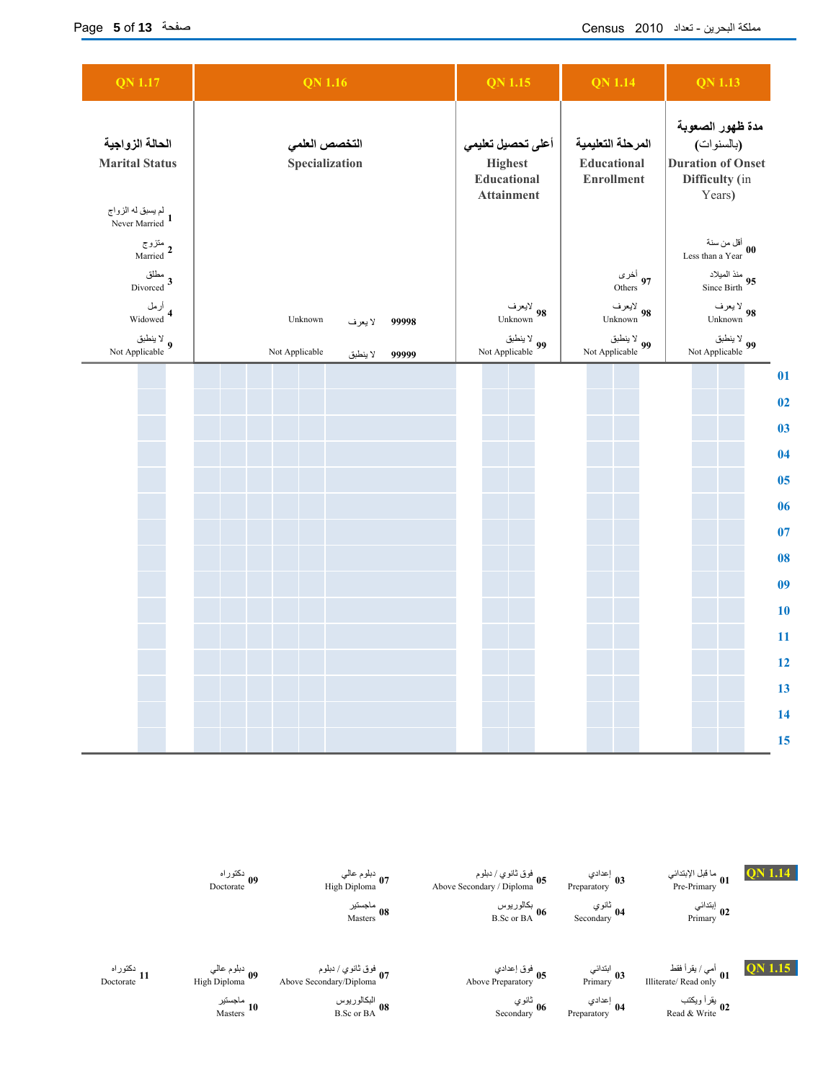| <b>QN 1.17</b>                           | <b>QN</b> 1.16                      | <b>QN 1.15</b>                                                          | <b>QN 1.14</b>                                        | <b>QN 1.13</b>                                                                         |
|------------------------------------------|-------------------------------------|-------------------------------------------------------------------------|-------------------------------------------------------|----------------------------------------------------------------------------------------|
| الحالة الزواجية<br><b>Marital Status</b> | التخصص العلمى<br>Specialization     | أعلى تحصيل تعليمي<br><b>Highest</b><br>Educational<br><b>Attainment</b> | المرحلة التعليمية<br>Educational<br><b>Enrollment</b> | مدة ظهور الصعوبة<br>(بالسنوات)<br><b>Duration of Onset</b><br>Difficulty (in<br>Years) |
| لم يسبق له الزواج<br>Never Married 1     |                                     |                                                                         |                                                       |                                                                                        |
| متزوج<br>Married <sup>2</sup>            |                                     |                                                                         |                                                       | أقل من سنة<br>Less than a Year $\begin{array}{c} 00 \end{array}$                       |
| مطلق<br>Divorced 3                       |                                     |                                                                         | أخرى<br>Others 97                                     | منذ الميلاد<br>95 Since Birth                                                          |
| أرمل<br>Widowed 4                        | Unknown<br>99998<br>لا يعرف         | لايعرف<br>Unknown 98                                                    | لايعرف<br>Unknown 98                                  | لا يعرف<br>Unknown 98                                                                  |
| لا ينطبق<br>9 Not Applicable             | Not Applicable<br>لا ينطبق<br>99999 | لا ينطبق $\frac{}{99}$<br>Not Applicable                                | لا ينطبق $\frac{}{99}$<br>Not Applicable              | لا ينطبق $\sqrt[3]{99}$<br>Not Applicable                                              |
|                                          |                                     |                                                                         |                                                       | 01                                                                                     |
|                                          |                                     |                                                                         |                                                       | 02                                                                                     |
|                                          |                                     |                                                                         |                                                       | 0 <sub>3</sub>                                                                         |
|                                          |                                     |                                                                         |                                                       | 04                                                                                     |
|                                          |                                     |                                                                         |                                                       | 05                                                                                     |
|                                          |                                     |                                                                         |                                                       | 06                                                                                     |
|                                          |                                     |                                                                         |                                                       | 07                                                                                     |
|                                          |                                     |                                                                         |                                                       | 08                                                                                     |
|                                          |                                     |                                                                         |                                                       | 0 <sub>9</sub>                                                                         |
|                                          |                                     |                                                                         |                                                       | 10                                                                                     |
|                                          |                                     |                                                                         |                                                       | 11                                                                                     |
|                                          |                                     |                                                                         |                                                       | 12                                                                                     |
|                                          |                                     |                                                                         |                                                       | 13                                                                                     |
|                                          |                                     |                                                                         |                                                       | 14                                                                                     |
|                                          |                                     |                                                                         |                                                       | 15                                                                                     |

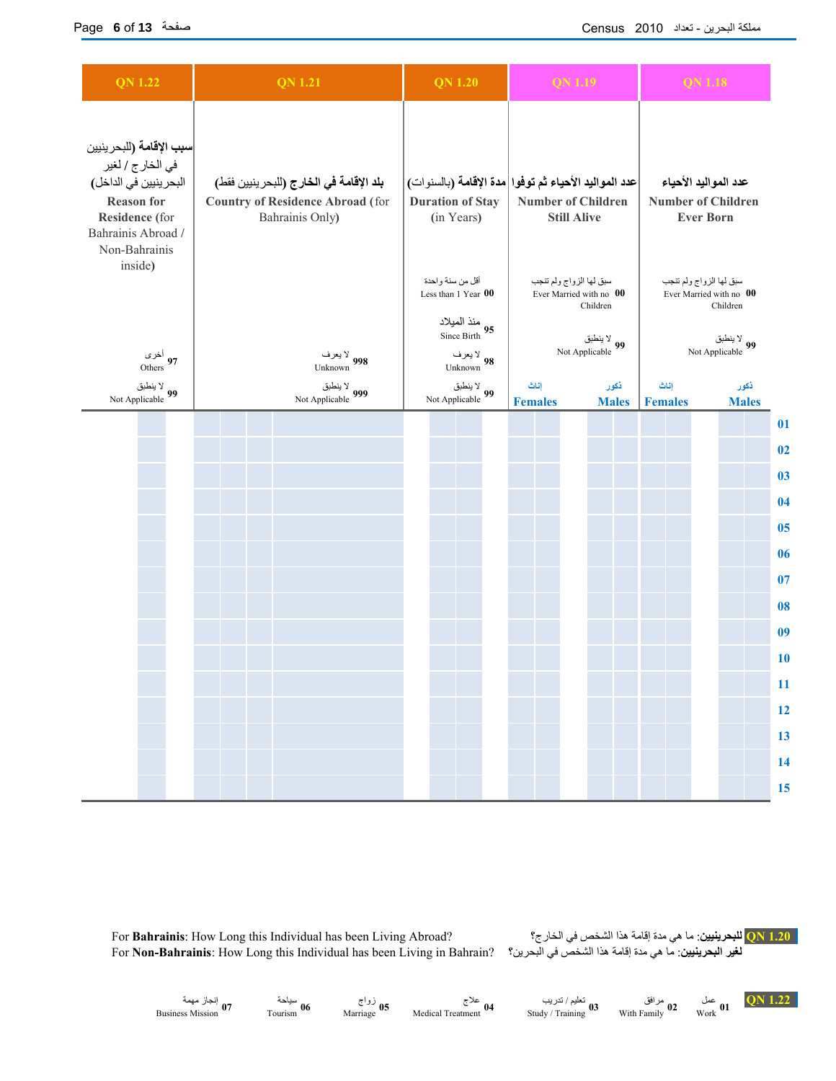| <b>QN 1.22</b>                                                                                                                                                      | <b>QN 1.21</b>                                                                                        | <b>QN 1.20</b>                                                                                    | QN 1.19                                                                                                 | QN 1.18                                                                                         |
|---------------------------------------------------------------------------------------------------------------------------------------------------------------------|-------------------------------------------------------------------------------------------------------|---------------------------------------------------------------------------------------------------|---------------------------------------------------------------------------------------------------------|-------------------------------------------------------------------------------------------------|
| <b>سبب الإقامة (</b> للبحر ينيين<br>في الخارج / لغير<br>البحر ينيين في الداخل)<br><b>Reason for</b><br><b>Residence</b> (for<br>Bahrainis Abroad /<br>Non-Bahrainis | بلد الإقامة في الخارج (للبحر ينيين فقط)<br><b>Country of Residence Abroad (for</b><br>Bahrainis Only) | <b>Duration of Stay</b><br>(in Years)                                                             | عدد المواليد الأحياء ثم توفوا مدة الإقامة (بالسنوات)<br><b>Number of Children</b><br><b>Still Alive</b> | عدد المواليد الأحياء<br><b>Number of Children</b><br><b>Ever Born</b>                           |
| inside)<br>أخرى<br>Others 97                                                                                                                                        | لا يعرف<br>Unknown 998                                                                                | أقل من سنة واحدة<br>Less than 1 Year 00<br>منذ الميلاد<br>Since Birth 95<br>لا يعرف<br>Unknown 98 | سبق لها الزواج ولم تنجب<br>Ever Married with no 00<br>Children<br>لا ينطبق<br>99 Not Applicable         | سبق لها الزواج ولم تنجب<br>Ever Married with no 00<br>Children<br>لا ينطبق<br>99 Not Applicable |
| لا ينطبق<br>99 Not Applicable                                                                                                                                       | لا ينطبق<br>999 Not Applicable                                                                        | لا ينطبق<br>99 Not Applicable                                                                     | ذكور<br>إناث<br><b>Males</b><br><b>Females</b>                                                          | ذكور<br>إناث<br><b>Females</b><br><b>Males</b>                                                  |
|                                                                                                                                                                     |                                                                                                       |                                                                                                   |                                                                                                         | 01                                                                                              |
|                                                                                                                                                                     |                                                                                                       |                                                                                                   |                                                                                                         | 02                                                                                              |
|                                                                                                                                                                     |                                                                                                       |                                                                                                   |                                                                                                         | 03                                                                                              |
|                                                                                                                                                                     |                                                                                                       |                                                                                                   |                                                                                                         | 04                                                                                              |
|                                                                                                                                                                     |                                                                                                       |                                                                                                   |                                                                                                         | 05                                                                                              |
|                                                                                                                                                                     |                                                                                                       |                                                                                                   |                                                                                                         | 06                                                                                              |
|                                                                                                                                                                     |                                                                                                       |                                                                                                   |                                                                                                         | 07                                                                                              |
|                                                                                                                                                                     |                                                                                                       |                                                                                                   |                                                                                                         | 08                                                                                              |
|                                                                                                                                                                     |                                                                                                       |                                                                                                   |                                                                                                         | 0 <sub>9</sub>                                                                                  |
|                                                                                                                                                                     |                                                                                                       |                                                                                                   |                                                                                                         | <b>10</b>                                                                                       |
|                                                                                                                                                                     |                                                                                                       |                                                                                                   |                                                                                                         | 11                                                                                              |
|                                                                                                                                                                     |                                                                                                       |                                                                                                   |                                                                                                         | 12                                                                                              |
|                                                                                                                                                                     |                                                                                                       |                                                                                                   |                                                                                                         | 13                                                                                              |
|                                                                                                                                                                     |                                                                                                       |                                                                                                   |                                                                                                         | 14                                                                                              |
|                                                                                                                                                                     |                                                                                                       |                                                                                                   |                                                                                                         | 15                                                                                              |

For **Bahrainis**: How Long this Individual has been Living Abroad? الخارج؟ في الشخص هذا إقامة مدة هي ما :**للبحرينيين QN 1.20** For **Non-Bahrainis**: How Long this Individual has been Living in Bahrain?

سياحة<br>Tourism <sup>06</sup>

**1.22 QN** عمل مرافق تعليم / تدريب علاج زواج سياحة إنجاز مهمة Business Mission Tourism Marriage Medical Treatment Study / Training With Family Work **07 05 02 04 03 01**

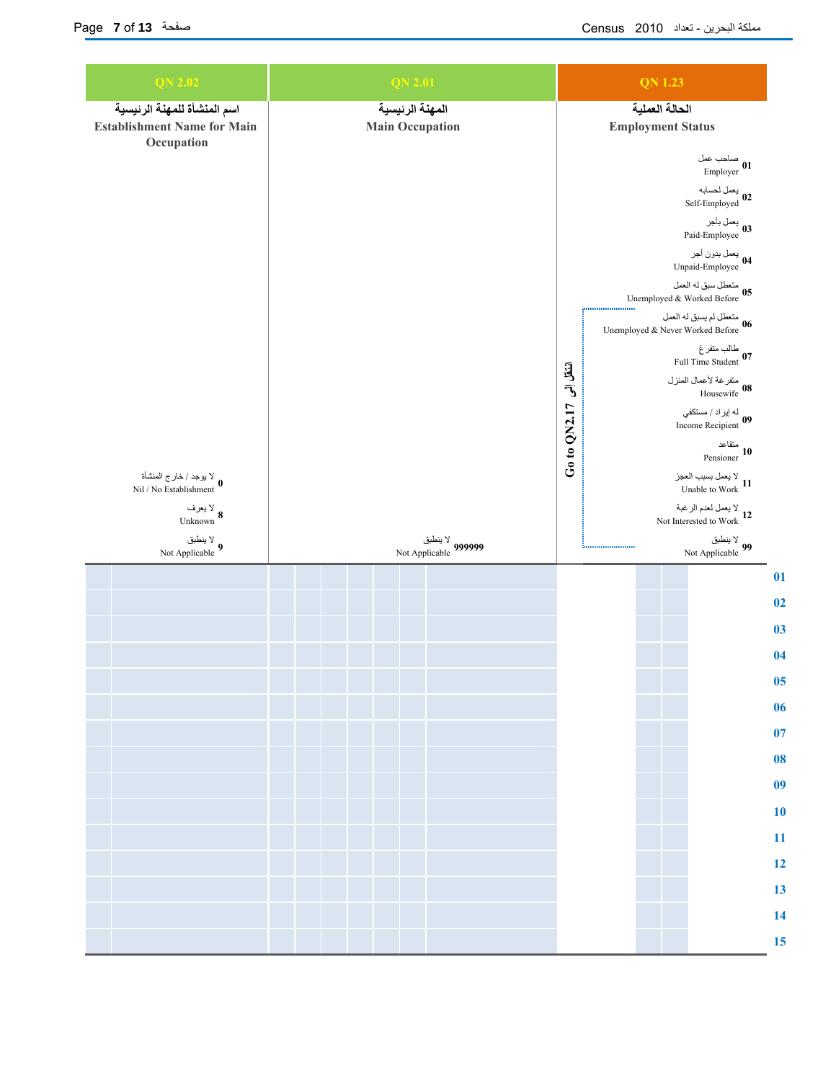| <b>QN 2.02</b>                                        | <b>QN 2.01</b>                                      | <b>QN 1.23</b>                                                                                                                                                                                                                                                                                                                                                                                               |  |  |  |
|-------------------------------------------------------|-----------------------------------------------------|--------------------------------------------------------------------------------------------------------------------------------------------------------------------------------------------------------------------------------------------------------------------------------------------------------------------------------------------------------------------------------------------------------------|--|--|--|
| اسم المنشأة للمهنة الرئيسية                           | المهنة الرئيسية                                     | الحالة العملية                                                                                                                                                                                                                                                                                                                                                                                               |  |  |  |
| <b>Establishment Name for Main</b><br>Occupation      | <b>Main Occupation</b>                              | <b>Employment Status</b>                                                                                                                                                                                                                                                                                                                                                                                     |  |  |  |
|                                                       |                                                     | صاحب عمل<br>Employer 01                                                                                                                                                                                                                                                                                                                                                                                      |  |  |  |
|                                                       |                                                     | يعمل لحسابه<br>Self-Employed 02                                                                                                                                                                                                                                                                                                                                                                              |  |  |  |
|                                                       |                                                     | يعمل بأجر<br>Paid-Employee 03                                                                                                                                                                                                                                                                                                                                                                                |  |  |  |
|                                                       |                                                     | يعمل بدون أجر<br>14 Unpaid-Employee                                                                                                                                                                                                                                                                                                                                                                          |  |  |  |
|                                                       | متعطل سبق له العمل<br>Unemployed & Worked Before 05 |                                                                                                                                                                                                                                                                                                                                                                                                              |  |  |  |
|                                                       |                                                     | $\begin{bmatrix} \begin{matrix} 1 & 0 & 0 \\ 0 & 1 & 0 \\ 0 & 0 & 0 \\ 0 & 0 & 0 \\ 0 & 0 & 0 \\ 0 & 0 & 0 \\ 0 & 0 & 0 \\ 0 & 0 & 0 \\ 0 & 0 & 0 \\ 0 & 0 & 0 \\ 0 & 0 & 0 \\ 0 & 0 & 0 \\ 0 & 0 & 0 \\ 0 & 0 & 0 \\ 0 & 0 & 0 \\ 0 & 0 & 0 \\ 0 & 0 & 0 \\ 0 & 0 & 0 & 0 \\ 0 & 0 & 0 & 0 \\ 0 & 0 & 0 & 0 \\ 0 & 0 & 0 & 0 \\ 0 & 0 & 0$<br>متعطل لم يسبق له العمل<br>16 Unemployed & Never Worked Before |  |  |  |
|                                                       |                                                     | طالب متفرغ<br>27 Full Time Student                                                                                                                                                                                                                                                                                                                                                                           |  |  |  |
|                                                       |                                                     | متفرغة لأعمال المنزل<br>Housewife 08                                                                                                                                                                                                                                                                                                                                                                         |  |  |  |
|                                                       |                                                     | له إيراد / مستكفي<br>19 Income Recipient                                                                                                                                                                                                                                                                                                                                                                     |  |  |  |
|                                                       | انتقل ابی 17×00 00 Go<br>متقاعد<br>10 Pensioner     |                                                                                                                                                                                                                                                                                                                                                                                                              |  |  |  |
| لا يوجد / خارج المنشأة<br>0<br>Nil / No Establishment |                                                     | لا يعمل بسبب العجز<br>Unable to Work 11                                                                                                                                                                                                                                                                                                                                                                      |  |  |  |
| لا يعرف<br>Unknown $8$                                |                                                     | يعمل لعدم الرغبة V<br>Not Interested to Work $12$                                                                                                                                                                                                                                                                                                                                                            |  |  |  |
| لا ينطبق<br>Not Applicable $9$                        | لا ينطبق<br>999999 Not Applicable                   | لا ينطبق<br>99 Not Applicable                                                                                                                                                                                                                                                                                                                                                                                |  |  |  |
|                                                       |                                                     | 01                                                                                                                                                                                                                                                                                                                                                                                                           |  |  |  |
|                                                       |                                                     | 02<br>03                                                                                                                                                                                                                                                                                                                                                                                                     |  |  |  |
|                                                       |                                                     | 04                                                                                                                                                                                                                                                                                                                                                                                                           |  |  |  |
|                                                       |                                                     | 05                                                                                                                                                                                                                                                                                                                                                                                                           |  |  |  |
|                                                       |                                                     | 06                                                                                                                                                                                                                                                                                                                                                                                                           |  |  |  |
|                                                       |                                                     | 07                                                                                                                                                                                                                                                                                                                                                                                                           |  |  |  |
|                                                       |                                                     | 08<br>09                                                                                                                                                                                                                                                                                                                                                                                                     |  |  |  |
|                                                       |                                                     | 10                                                                                                                                                                                                                                                                                                                                                                                                           |  |  |  |
|                                                       |                                                     | 11                                                                                                                                                                                                                                                                                                                                                                                                           |  |  |  |
|                                                       |                                                     | 12                                                                                                                                                                                                                                                                                                                                                                                                           |  |  |  |
|                                                       |                                                     | 13<br>14                                                                                                                                                                                                                                                                                                                                                                                                     |  |  |  |
|                                                       |                                                     | 15                                                                                                                                                                                                                                                                                                                                                                                                           |  |  |  |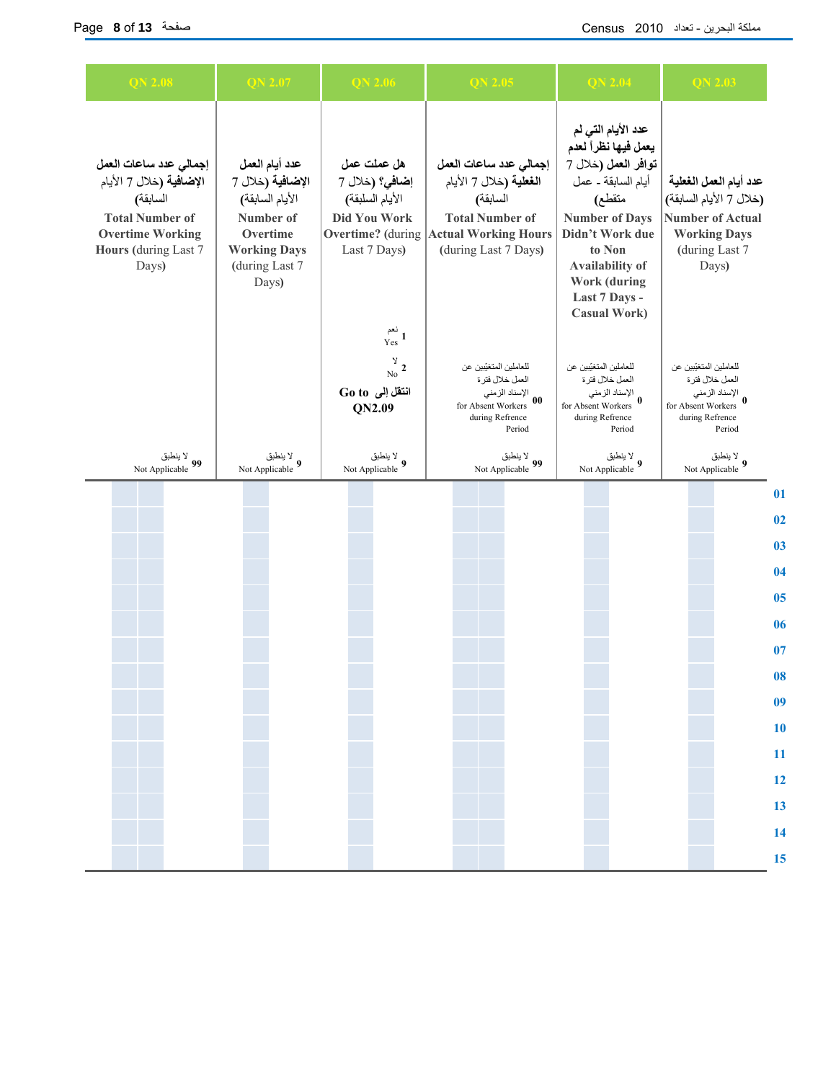| <b>QN 2.08</b>                                                                                                                                      | <b>QN 2.07</b>                                                                                                                   | <b>QN 2.06</b>                                                                   | QN 2.05                                                                                                                                                                 | <b>QN 2.04</b>                                                                                                                                                                                                                                   | $QN$ 2.03                                                                                                                      |          |
|-----------------------------------------------------------------------------------------------------------------------------------------------------|----------------------------------------------------------------------------------------------------------------------------------|----------------------------------------------------------------------------------|-------------------------------------------------------------------------------------------------------------------------------------------------------------------------|--------------------------------------------------------------------------------------------------------------------------------------------------------------------------------------------------------------------------------------------------|--------------------------------------------------------------------------------------------------------------------------------|----------|
| إجمالي عدد ساعات العمل<br>الإضافية (خلال 7 الأيام<br>السابقة)<br><b>Total Number of</b><br><b>Overtime Working</b><br>Hours (during Last 7<br>Days) | عدد أيام العمل<br>الإضافية (خلال 7<br>الأيام السابقة)<br>Number of<br>Overtime<br><b>Working Days</b><br>(during Last 7<br>Days) | هل عملت عمل<br>إضافي؟ (خلال 7<br>الأيام السلبقة)<br>Did You Work<br>Last 7 Days) | إجمالي عدد ساعات العمل<br>ا <b>لغطية (</b> خلال 7 الأيام<br>السابقة)<br><b>Total Number of</b><br><b>Overtime?</b> (during Actual Working Hours<br>(during Last 7 Days) | عدد الأيام التي لم<br>يعمل فيها نظراً لعدم<br>توافر العمل (خلال 7<br>أيام السابقة ـ عمل<br>متقطع)<br><b>Number of Days</b><br>Didn't Work due<br>to Non<br><b>Availability of</b><br><b>Work (during</b><br>Last 7 Days -<br><b>Casual Work)</b> | عدد أيام العمل الغعلية<br>(خلال 7 الأيام السابقة)<br><b>Number of Actual</b><br><b>Working Days</b><br>(during Last 7<br>Days) |          |
|                                                                                                                                                     |                                                                                                                                  | نعم<br>Yes 1<br>$\frac{y}{N_0}$ 2<br>انتقل إلى Go to<br>QN2.09                   | للعاملين المتغيّبين عن<br>العمل خلال فترة<br>الإسناد الزمني<br>for Absent Workers $\begin{bmatrix} 00 \end{bmatrix}$<br>during Refrence<br>Period                       | للعاملين المتغيّبين عن<br>العمل خلال فترة<br>الإسناد الزمني<br>for Absent Workers $\,\bm{0}$<br>during Refrence<br>Period                                                                                                                        | للعاملين المتغيّبين عن<br>العمل خلال فترة<br>الإسناد الزمني<br>for Absent Workers 0<br>during Refrence<br>Period               |          |
| لا ينطبق<br>99 Not Applicable                                                                                                                       | لا ينطبق ﴾<br>Not Applicable 9                                                                                                   | لا ينطبق<br>Not Applicable 9                                                     | لا ينطبق<br>Not Applicable 99                                                                                                                                           | لا ينطبق<br>Not Applicable $9$                                                                                                                                                                                                                   | لا ينطبق<br>Not Applicable $\boldsymbol{9}$                                                                                    |          |
|                                                                                                                                                     |                                                                                                                                  |                                                                                  |                                                                                                                                                                         |                                                                                                                                                                                                                                                  |                                                                                                                                | 01       |
|                                                                                                                                                     |                                                                                                                                  |                                                                                  |                                                                                                                                                                         |                                                                                                                                                                                                                                                  |                                                                                                                                | 02       |
|                                                                                                                                                     |                                                                                                                                  |                                                                                  |                                                                                                                                                                         |                                                                                                                                                                                                                                                  |                                                                                                                                | 03       |
|                                                                                                                                                     |                                                                                                                                  |                                                                                  |                                                                                                                                                                         |                                                                                                                                                                                                                                                  |                                                                                                                                | 04       |
|                                                                                                                                                     |                                                                                                                                  |                                                                                  |                                                                                                                                                                         |                                                                                                                                                                                                                                                  |                                                                                                                                | 05       |
|                                                                                                                                                     |                                                                                                                                  |                                                                                  |                                                                                                                                                                         |                                                                                                                                                                                                                                                  |                                                                                                                                | 06       |
|                                                                                                                                                     |                                                                                                                                  |                                                                                  |                                                                                                                                                                         |                                                                                                                                                                                                                                                  |                                                                                                                                | 07       |
|                                                                                                                                                     |                                                                                                                                  |                                                                                  |                                                                                                                                                                         |                                                                                                                                                                                                                                                  |                                                                                                                                | 08<br>09 |
|                                                                                                                                                     |                                                                                                                                  |                                                                                  |                                                                                                                                                                         |                                                                                                                                                                                                                                                  |                                                                                                                                | 10       |
|                                                                                                                                                     |                                                                                                                                  |                                                                                  |                                                                                                                                                                         |                                                                                                                                                                                                                                                  |                                                                                                                                | 11       |
|                                                                                                                                                     |                                                                                                                                  |                                                                                  |                                                                                                                                                                         |                                                                                                                                                                                                                                                  |                                                                                                                                | 12       |
|                                                                                                                                                     |                                                                                                                                  |                                                                                  |                                                                                                                                                                         |                                                                                                                                                                                                                                                  |                                                                                                                                | 13       |
|                                                                                                                                                     |                                                                                                                                  |                                                                                  |                                                                                                                                                                         |                                                                                                                                                                                                                                                  |                                                                                                                                | 14       |
|                                                                                                                                                     |                                                                                                                                  |                                                                                  |                                                                                                                                                                         |                                                                                                                                                                                                                                                  |                                                                                                                                | 15       |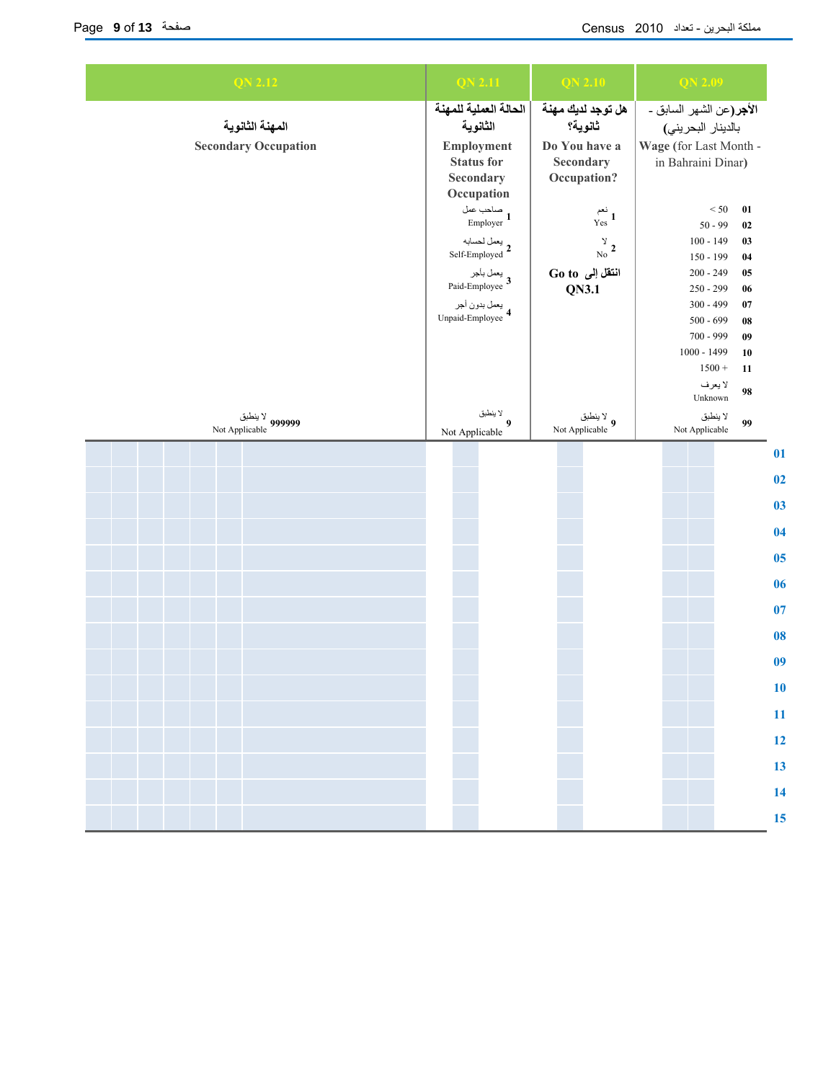| <b>QN 2.12</b>                    | <b>QN 2.11</b>                     | QN <sub>2.10</sub>          | <b>QN 2.09</b>                         |                |  |  |
|-----------------------------------|------------------------------------|-----------------------------|----------------------------------------|----------------|--|--|
|                                   | الحالة العملية للمهنة              | هل توجد لديك مهنة           | الأ <b>جر</b> (عن الشهر السابق ـ       |                |  |  |
| المهنة الثانوية                   | الثانوية                           | ثانوية؟                     | بالدينار البحريني)                     |                |  |  |
| <b>Secondary Occupation</b>       | Employment                         | Do You have a               | Wage (for Last Month -                 |                |  |  |
|                                   | <b>Status for</b>                  | Secondary                   | in Bahraini Dinar)                     |                |  |  |
|                                   | Secondary                          | Occupation?                 |                                        |                |  |  |
|                                   | Occupation                         |                             |                                        |                |  |  |
|                                   | صاحب عمل<br>Employer 1             | نعم<br>Yes <sup>1</sup>     | $< 50$<br>$\bf{01}$<br>$50 - 99$<br>02 |                |  |  |
|                                   |                                    |                             | $100 - 149$<br>03                      |                |  |  |
|                                   | يعمل لحسابه<br>Self-Employed 2     | $\frac{\gamma}{N_0}$ 2      | 150 - 199<br>04                        |                |  |  |
|                                   |                                    | انتقل إلى Go to             | $200 - 249$<br>$05\,$                  |                |  |  |
|                                   | يعمل بأجر<br>3 Paid-Employee       | <b>QN3.1</b>                | $250 - 299$<br>06                      |                |  |  |
|                                   |                                    |                             | $300 - 499$<br>07                      |                |  |  |
|                                   | يعمل بدون أجر<br>Unpaid-Employee 4 |                             | $500 - 699$<br>${\bf 08}$              |                |  |  |
|                                   |                                    |                             | 700 - 999<br>09                        |                |  |  |
|                                   |                                    |                             | 1000 - 1499<br>10                      |                |  |  |
|                                   |                                    |                             | $1500 +$<br>11                         |                |  |  |
|                                   |                                    |                             | لا يعرف                                |                |  |  |
|                                   |                                    |                             | 98<br>Unknown                          |                |  |  |
| لا ينطبق<br>999999 Not Applicable | لا ينطبق<br>$\boldsymbol{9}$       | ينطبق<br>Not Applicable $9$ | لا ينطبق<br>99                         |                |  |  |
|                                   | Not Applicable                     |                             | Not Applicable                         |                |  |  |
|                                   |                                    |                             |                                        | 01             |  |  |
|                                   |                                    |                             |                                        |                |  |  |
|                                   |                                    |                             |                                        | 02             |  |  |
|                                   |                                    |                             |                                        | 0 <sub>3</sub> |  |  |
|                                   |                                    |                             |                                        |                |  |  |
|                                   |                                    |                             |                                        | 04             |  |  |
|                                   |                                    |                             |                                        | 05             |  |  |
|                                   |                                    |                             |                                        | 06             |  |  |
|                                   |                                    |                             |                                        | 07             |  |  |
|                                   |                                    |                             |                                        | 08             |  |  |
|                                   |                                    |                             |                                        | 0 <sub>9</sub> |  |  |
|                                   |                                    |                             |                                        | 10             |  |  |
|                                   |                                    |                             |                                        |                |  |  |
|                                   |                                    |                             |                                        | 11             |  |  |
|                                   |                                    |                             |                                        | 12             |  |  |
|                                   |                                    |                             |                                        | 13             |  |  |
|                                   |                                    |                             |                                        | 14             |  |  |
|                                   |                                    |                             |                                        | 15             |  |  |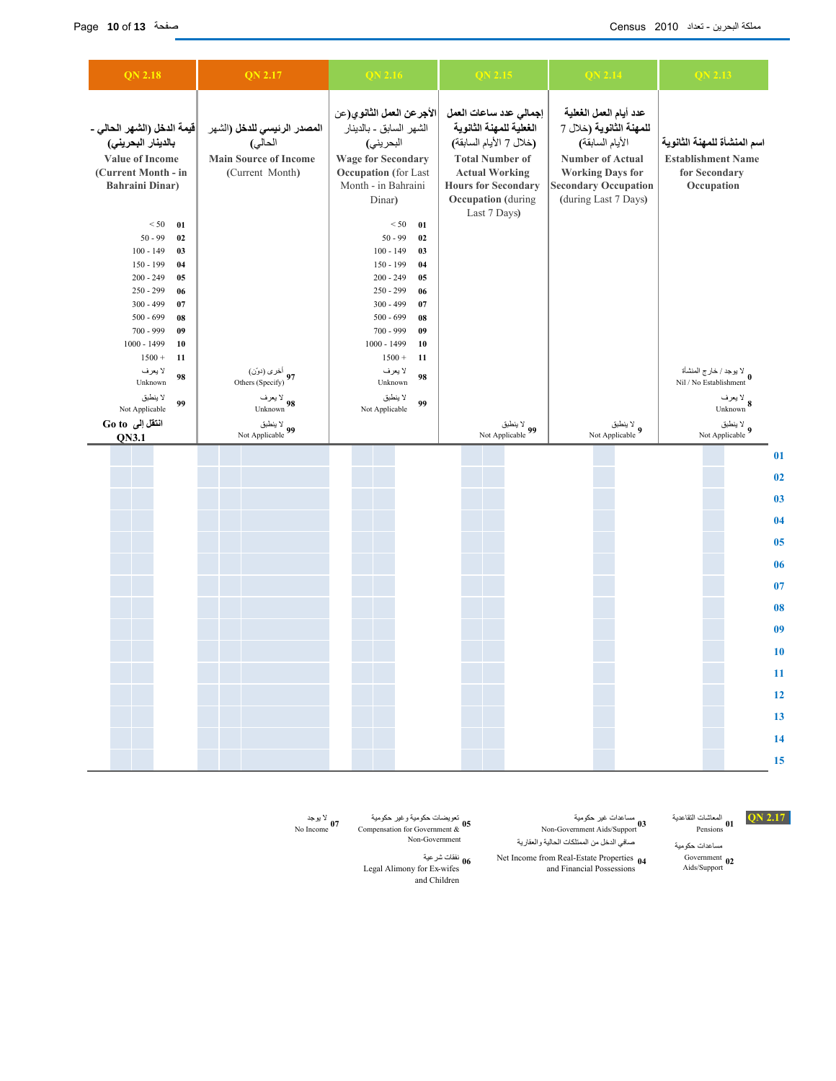| <b>QN 2.18</b>                                                                                                                                                                                                                                                                                                                                                                                  | <b>QN 2.17</b>                                                                                                                                           | QN 2.16                                                                                                                                                                                                                                                                                                                                                                                                                                | QN 2.15                                                                                                                                                                                                   | <b>QN 2.14</b>                                                                                                                                                                   | QN 2.13                                                                                                                                                               |
|-------------------------------------------------------------------------------------------------------------------------------------------------------------------------------------------------------------------------------------------------------------------------------------------------------------------------------------------------------------------------------------------------|----------------------------------------------------------------------------------------------------------------------------------------------------------|----------------------------------------------------------------------------------------------------------------------------------------------------------------------------------------------------------------------------------------------------------------------------------------------------------------------------------------------------------------------------------------------------------------------------------------|-----------------------------------------------------------------------------------------------------------------------------------------------------------------------------------------------------------|----------------------------------------------------------------------------------------------------------------------------------------------------------------------------------|-----------------------------------------------------------------------------------------------------------------------------------------------------------------------|
| قيمة الدخل (الشهر الحالي _<br>بالدينار البحريني)<br>Value of Income<br>(Current Month - in<br><b>Bahraini Dinar)</b><br>< 50<br>01<br>$50 - 99$<br>02<br>$100 - 149$<br>03<br>$150 - 199$<br>04<br>$200 - 249$<br>05<br>$250 - 299$<br>06<br>$300 - 499$<br>07<br>$500 - 699$<br>08<br>$700 - 999$<br>09<br>$1000 - 1499$<br>10<br>$1500 +$<br>11<br>لا يعرف<br>98<br>Unknown<br>لا ينطبق<br>99 | المصدر الرئيسي للدخل (الشهر<br>الحالي)<br><b>Main Source of Income</b><br>(Current Month)<br>أخرى (دوّن)<br>97 Others (Specify)<br>لا يعرف<br>Unknown 98 | الأجرعن العمل الثانوي(عن<br>الشهر السابق ـ بالدينار<br>البحريني)<br><b>Wage for Secondary</b><br><b>Occupation</b> (for Last<br>Month - in Bahraini<br>Dinar)<br>< 50<br>01<br>$50 - 99$<br>02<br>$100 - 149$<br>03<br>$150 - 199$<br>04<br>$200 - 249$<br>05<br>$250 - 299$<br>06<br>$300 - 499$<br>07<br>$500 - 699$<br>08<br>700 - 999<br>09<br>$1000 - 1499$<br>10<br>$1500 +$<br>11<br>لا يعرف<br>98<br>Unknown<br>لا ينطبق<br>99 | إجمالي عدد ساعات العمل<br>الغطية للمهنة الثانوية<br>(خلال 7 الأيام السابقة)<br><b>Total Number of</b><br><b>Actual Working</b><br><b>Hours for Secondary</b><br><b>Occupation</b> (during<br>Last 7 Days) | عدد أيام العمل الغطية<br>للمهنة الثانوية (خلال 7<br>الأيام السابقة)<br><b>Number of Actual</b><br><b>Working Days for</b><br><b>Secondary Occupation</b><br>(during Last 7 Days) | اسم المنشأة للمهنة الثانوية<br><b>Establishment Name</b><br>for Secondary<br>Occupation<br>لا يوجد / خارج المنشأة V<br>Nil / No Establishment<br>لا يعرف<br>Unknown 8 |
| Not Applicable<br>انتقل إلى Go to<br>QN3.1                                                                                                                                                                                                                                                                                                                                                      | لا ينطبق<br>99 Not Applicable                                                                                                                            | Not Applicable                                                                                                                                                                                                                                                                                                                                                                                                                         | لا ينطبق<br>99 Not Applicable                                                                                                                                                                             | لا ينطبق<br>9 Not Applicable                                                                                                                                                     | لا ينطبق<br>Not Applicable $9$                                                                                                                                        |
|                                                                                                                                                                                                                                                                                                                                                                                                 |                                                                                                                                                          |                                                                                                                                                                                                                                                                                                                                                                                                                                        |                                                                                                                                                                                                           |                                                                                                                                                                                  | 01<br>02<br>0 <sub>3</sub><br>04<br>05<br>06<br>07<br>08<br>09<br>10<br>$\overline{11}$<br>12<br>13<br>14                                                             |

الععاشات التقاعدية **QN 2.17**<br>Pensions **01** 

Government 02<br>Aids/Support

مساعدات حكومية

المعاشات التقاعدية مساعدات غير حكومية المعاشات التقاعدية المساعدات غير حكومية الا يوجد المساعد الا يوجد الديوجد<br>2.17 No Income Non-Government Aids/Support Pensions Pensions Pensions Pensions Pensions Pensions Pensions Pen مساعدات غیر حکومیة<br>0**3** Non-Government Aids/Support صافي الدخل من الممتلكات الحالية والعقارية

> Net Income from Real-Estate Properties 04 and Financial Possessions

نفقات شرعية **06** Legal Alimony for Ex-wifes and Children

**05**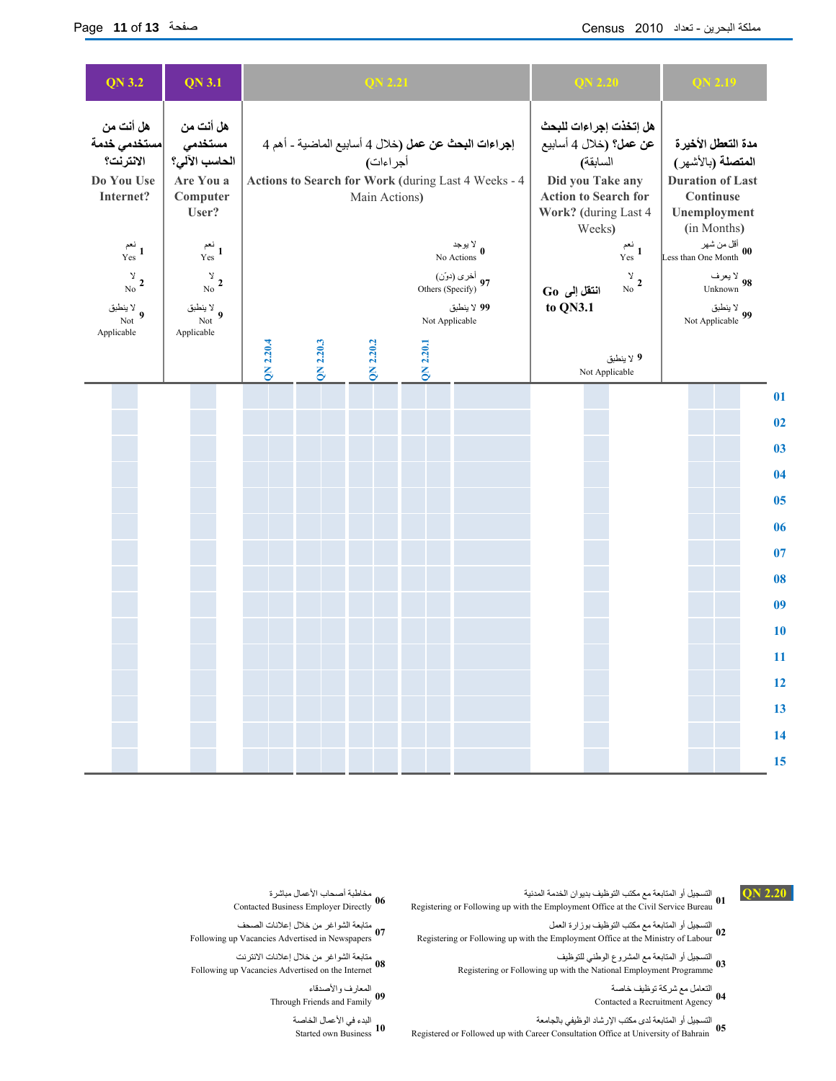| QN 3.2                                                            | <b>QN 3.1</b>                                                           |           |                                                                                                        | QN 2.21                                                                                                                                 |           | QN 2.20                                                                                                                                           |                |                                                         | QN 2.19                                                                                                                 |                                                        |                      |
|-------------------------------------------------------------------|-------------------------------------------------------------------------|-----------|--------------------------------------------------------------------------------------------------------|-----------------------------------------------------------------------------------------------------------------------------------------|-----------|---------------------------------------------------------------------------------------------------------------------------------------------------|----------------|---------------------------------------------------------|-------------------------------------------------------------------------------------------------------------------------|--------------------------------------------------------|----------------------|
| هل أنت من<br>مستخدمى خدمة<br>الانترنت؟<br>Do You Use<br>Internet? | هل أنت من<br>مستخدمى<br>الحاسب الآلي؟<br>Are You a<br>Computer<br>User? |           |                                                                                                        | إجراءات البحث عن عمل (خلال 4 أسابيع الماضية ـ أهم 4<br>أجراءات)<br>Actions to Search for Work (during Last 4 Weeks - 4<br>Main Actions) |           | هل إتخذت إجراءات للبحث<br>عن عمل؟ (خلال 4 أسابيع<br>السابقة)<br>Did you Take any<br><b>Action to Search for</b><br>Work? (during Last 4<br>Weeks) |                |                                                         | مدة التعطل الأخيرة<br>ا <b>لمتصلة (</b> بالأشهر)<br><b>Duration of Last</b><br>Continuse<br>Unemployment<br>(in Months) |                                                        |                      |
| نعم<br>Yes 1<br>$\frac{\gamma}{N_0}$ 2<br>لا ينطبق $9$<br>Not     | نعم<br>Yes <sup>1</sup><br>$\frac{y}{N_0}$ 2<br>لا ينطبق $9$<br>Not     |           | لا يوجد No Actions $\mathbf{0}$<br>أخرى (دوّن)<br>97 Others (Specify)<br>99 لا ينطبق<br>Not Applicable |                                                                                                                                         |           |                                                                                                                                                   |                | نعم<br>Yes <sup>1</sup><br>$\frac{\gamma}{\text{No}}$ 2 | أقل من شهر<br>Less than One Month $\begin{bmatrix} 00 \end{bmatrix}$                                                    | لا يعرف<br>Unknown 98<br>لا ينطبق<br>99 Not Applicable |                      |
| Applicable                                                        | Applicable                                                              | QN 2.20.4 | QN 2.20.3                                                                                              | QN 2.20.2                                                                                                                               | QN 2.20.1 |                                                                                                                                                   | Not Applicable | 9 لا ينطبق                                              |                                                                                                                         |                                                        |                      |
|                                                                   |                                                                         |           |                                                                                                        |                                                                                                                                         |           |                                                                                                                                                   |                |                                                         |                                                                                                                         |                                                        | 01                   |
|                                                                   |                                                                         |           |                                                                                                        |                                                                                                                                         |           |                                                                                                                                                   |                |                                                         |                                                                                                                         |                                                        | 02<br>0 <sub>3</sub> |
|                                                                   |                                                                         |           |                                                                                                        |                                                                                                                                         |           |                                                                                                                                                   |                |                                                         |                                                                                                                         |                                                        | 04                   |
|                                                                   |                                                                         |           |                                                                                                        |                                                                                                                                         |           |                                                                                                                                                   |                |                                                         |                                                                                                                         |                                                        | 0 <sub>5</sub>       |
|                                                                   |                                                                         |           |                                                                                                        |                                                                                                                                         |           |                                                                                                                                                   |                |                                                         |                                                                                                                         |                                                        | 06                   |
|                                                                   |                                                                         |           |                                                                                                        |                                                                                                                                         |           |                                                                                                                                                   |                |                                                         |                                                                                                                         |                                                        | 07                   |
|                                                                   |                                                                         |           |                                                                                                        |                                                                                                                                         |           |                                                                                                                                                   |                |                                                         |                                                                                                                         |                                                        | 08                   |
|                                                                   |                                                                         |           |                                                                                                        |                                                                                                                                         |           |                                                                                                                                                   |                |                                                         |                                                                                                                         |                                                        | 09                   |
|                                                                   |                                                                         |           |                                                                                                        |                                                                                                                                         |           |                                                                                                                                                   |                |                                                         |                                                                                                                         |                                                        | 10                   |
|                                                                   |                                                                         |           |                                                                                                        |                                                                                                                                         |           |                                                                                                                                                   |                |                                                         |                                                                                                                         |                                                        | 11                   |
|                                                                   |                                                                         |           |                                                                                                        |                                                                                                                                         |           |                                                                                                                                                   |                |                                                         |                                                                                                                         |                                                        | 12<br>13             |
|                                                                   |                                                                         |           |                                                                                                        |                                                                                                                                         |           |                                                                                                                                                   |                |                                                         |                                                                                                                         |                                                        | 14                   |
|                                                                   |                                                                         |           |                                                                                                        |                                                                                                                                         |           |                                                                                                                                                   |                |                                                         |                                                                                                                         |                                                        | 15                   |

- **2.20 QN** التسجيل أو المتابعة مع مكتب التوظيف بديوان الخدمة المدنية مخاطبة أصحاب الأعمال مباشرة Contacted Business Employer Directly Registering or Following up with the Employment Office at the Civil Service Bureau **01**
- التسجيل أو المتابعة مع مكتب التوظيف بوزارة العمل متابعة الشواغر من خلال إعلانات الصحف Following up Vacancies Advertised in Newspapers **07**<br>
Registering or Following up with the Employment Office at the Ministry of Labour
- التسجيل أو المتابعة مع المشروع الوطني للتوظيف متابعة الشواغر من خلال إعلانات الانترنت Following up Vacancies Advertised on the Internet **08**<br>Registering or Following up with the National Employment Programme **03** 
	- التعامل مع شرآة توظيف خاصة المعارف والأصدقاء Through Friends and Family 09 04 contacted a Recruitment Agency 04
		- التسجيل أو المتابعة لدى مكتب الإرشاد الوظيفي بالجامعة البدء في الأعمال الخاصة Started own Business **10**<br> **10** Registered or Followed up with Career Consultation Office at University of Bahrain **05**
- مخاطبة أصحاب الأعمال مباشرة<br>0**6** Contacted Business Employer Directly
- متابعة الشواغر من خلال إعلانات الصحف<br>07 Following up Vacancies Advertised in Newspapers
- متابعة الشواغر من خلال إعلانات الانترنت<br>0**8** Tollowing up Vacancies Advertised on the Internet
	- المعارف والأصدقاء<br>19 O9 Through Friends and Family
		- البدء في الأعمال الخاصة<br>1**0** Started own Business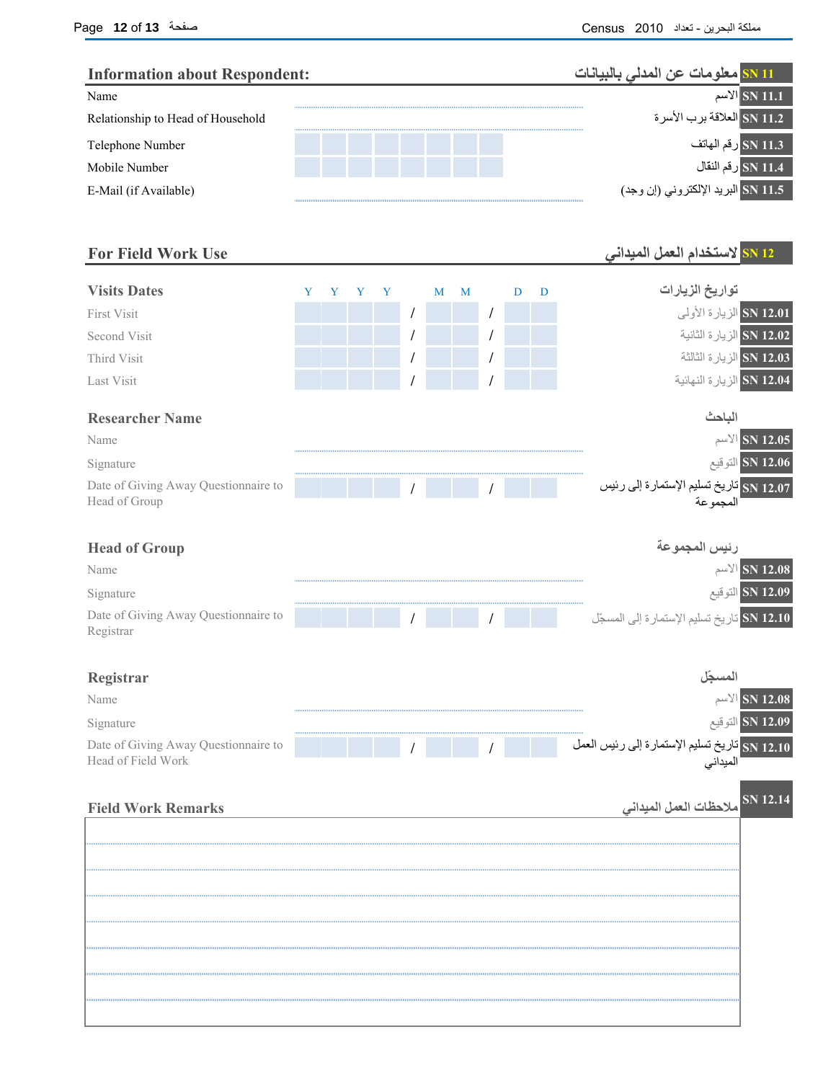| Name                                                       | <b>Information about Respondent:</b> |   |   |   |   |   |   |   | <mark>SN 11 معلومات عن المدلي بالبيانات</mark>               |
|------------------------------------------------------------|--------------------------------------|---|---|---|---|---|---|---|--------------------------------------------------------------|
|                                                            |                                      |   |   |   |   |   |   |   | الاسم $\vert$ SN 11.1                                        |
| Relationship to Head of Household                          |                                      |   |   |   |   |   |   |   | SN 11.2 العلاقة برب الأسرة                                   |
| Telephone Number                                           |                                      |   |   |   |   |   |   |   | SN 11.3 رقم الهاتف                                           |
| Mobile Number                                              |                                      |   |   |   |   |   |   |   | ـ SN 11.4 رقم النقال                                         |
| E-Mail (if Available)                                      |                                      |   |   |   |   |   |   |   | SN 11.5 البريد الإلكتروني (إن وجد)                           |
| <b>For Field Work Use</b>                                  |                                      |   |   |   |   |   |   |   | SN 12 لاستخدام العمل الميداني                                |
| <b>Visits Dates</b>                                        | Y                                    | Y | Y | Y | M | M | D | D | تواريخ الزيارات                                              |
| <b>First Visit</b>                                         |                                      |   |   |   |   |   |   |   | SN 12.01 الزيارة الأولى                                      |
| Second Visit                                               |                                      |   |   |   |   |   |   |   | الزيارة الثانية الثانية                                      |
| Third Visit                                                |                                      |   |   |   |   |   |   |   | الزيارة الثالثة $8N$ 12.03                                   |
| <b>Last Visit</b>                                          |                                      |   |   |   |   |   |   |   | SN 12.04 الزيارة النهائية                                    |
| <b>Researcher Name</b>                                     |                                      |   |   |   |   |   |   |   | الباحث                                                       |
| Name                                                       |                                      |   |   |   |   |   |   |   | $\mathbb{N}$ SN 12.05                                        |
| Signature                                                  |                                      |   |   |   |   |   |   |   | SN 12.06 التوقيع                                             |
| Date of Giving Away Questionnaire to<br>Head of Group      |                                      |   |   |   |   |   |   |   | 12.07 SN تاريخ تسليم الإستمارة إلى رئيس<br>المجموعة          |
| <b>Head of Group</b>                                       |                                      |   |   |   |   |   |   |   | رئيس المجموعة                                                |
| Name                                                       |                                      |   |   |   |   |   |   |   | $N$ 12.08                                                    |
| Signature                                                  |                                      |   |   |   |   |   |   |   | SN 12.09 التوقيع                                             |
| Date of Giving Away Questionnaire to<br>Registrar          |                                      |   |   |   |   |   |   |   | <mark>SN 12.10 تاريخ تسليم الإستمارة إلى المسجّل</mark>      |
| Registrar                                                  |                                      |   |   |   |   |   |   |   | المسجّل                                                      |
| Name                                                       |                                      |   |   |   |   |   |   |   | الأسم $\vert$ SN 12.08                                       |
| Signature                                                  |                                      |   |   |   |   |   |   |   | SN 12.09 التوقيع                                             |
|                                                            |                                      |   |   |   |   |   |   |   | <mark>12.10 SN أ</mark> تاريخ تسليم الإستمارة إلى رئيس العمل |
| Date of Giving Away Questionnaire to<br>Head of Field Work |                                      |   |   |   |   |   |   |   | الميداني                                                     |